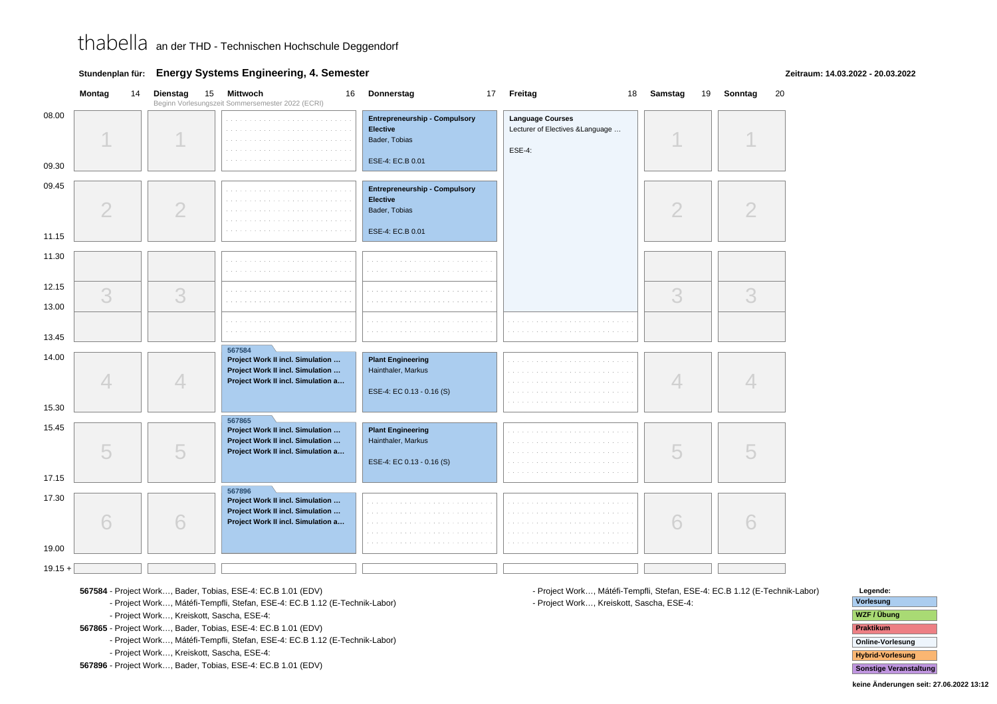**Stundenplan für: Energy Systems Engineering, 4. Semester**

**Zeitraum: 14.03.2022 - 20.03.2022**

|                | Montag         | 14 | 15<br><b>Dienstag</b> | Mittwoch<br>16<br>Beginn Vorlesungszeit Sommersemester 2022 (ECRI)                                         | Donnerstag                                                                                   | 17 Freitag                                                                     | 18 Samstag<br>19 | Sonntag<br>20 |
|----------------|----------------|----|-----------------------|------------------------------------------------------------------------------------------------------------|----------------------------------------------------------------------------------------------|--------------------------------------------------------------------------------|------------------|---------------|
| 08.00<br>09.30 |                |    |                       |                                                                                                            | <b>Entrepreneurship - Compulsory</b><br><b>Elective</b><br>Bader, Tobias<br>ESE-4: EC.B 0.01 | <b>Language Courses</b><br>Lecturer of Electives & Language<br><b>ESE-4:</b>   |                  |               |
| 09.45<br>11.15 | $\overline{2}$ |    | $\overline{2}$        | $\sim$ $-$<br>$\sim$                                                                                       | <b>Entrepreneurship - Compulsory</b><br>Elective<br>Bader, Tobias<br>ESE-4: EC.B 0.01        |                                                                                | $\overline{2}$   |               |
| 11.30          |                |    |                       | $\alpha$ , $\alpha$ , $\alpha$                                                                             | and and<br>a sa sa                                                                           |                                                                                |                  |               |
| 12.15<br>13.00 | 3              |    | 3                     |                                                                                                            |                                                                                              |                                                                                | 3                | 3             |
| 13.45          |                |    |                       | a sa sa<br>and a series of<br>567584                                                                       | a contra<br>a sa sa                                                                          | a construction of the construction of the<br>the company of the company of the |                  |               |
| 14.00          | $\overline{4}$ |    | 4                     | Project Work II incl. Simulation<br>Project Work II incl. Simulation<br>Project Work II incl. Simulation a | <b>Plant Engineering</b><br>Hainthaler, Markus<br>ESE-4: EC 0.13 - 0.16 (S)                  |                                                                                | 4                |               |
| 15.30          |                |    |                       | 567865                                                                                                     |                                                                                              |                                                                                |                  |               |
| 15.45          | 5              |    | 5                     | Project Work II incl. Simulation<br>Project Work II incl. Simulation<br>Project Work II incl. Simulation a | <b>Plant Engineering</b><br>Hainthaler, Markus<br>ESE-4: EC 0.13 - 0.16 (S)                  | and a series                                                                   | 5                |               |
| 17.15          |                |    |                       | 567896                                                                                                     |                                                                                              |                                                                                |                  |               |
| 17.30<br>19.00 | 6              |    | 6                     | Project Work II incl. Simulation<br>Project Work II incl. Simulation<br>Project Work II incl. Simulation a |                                                                                              |                                                                                | 6                |               |
|                |                |    |                       |                                                                                                            |                                                                                              |                                                                                |                  |               |
| $19.15 +$      |                |    |                       |                                                                                                            |                                                                                              |                                                                                |                  |               |

**567584** - Project Work…, Bader, Tobias, ESE-4: EC.B 1.01 (EDV)

**567584** - Project Work…, Mátéfi-Tempfli, Stefan, ESE-4: EC.B 1.12 (E-Technik-Labor)

**567584** - Project Work…, Kreiskott, Sascha, ESE-4:

**567865** - Project Work…, Bader, Tobias, ESE-4: EC.B 1.01 (EDV)

**567865** - Project Work…, Mátéfi-Tempfli, Stefan, ESE-4: EC.B 1.12 (E-Technik-Labor)

**567865** - Project Work…, Kreiskott, Sascha, ESE-4:

**567896** - Project Work…, Bader, Tobias, ESE-4: EC.B 1.01 (EDV)

**567896** - Project Work…, Mátéfi-Tempfli, Stefan, ESE-4: EC.B 1.12 (E-Technik-Labor)**567896** - Project Work…, Kreiskott, Sascha, ESE-4:

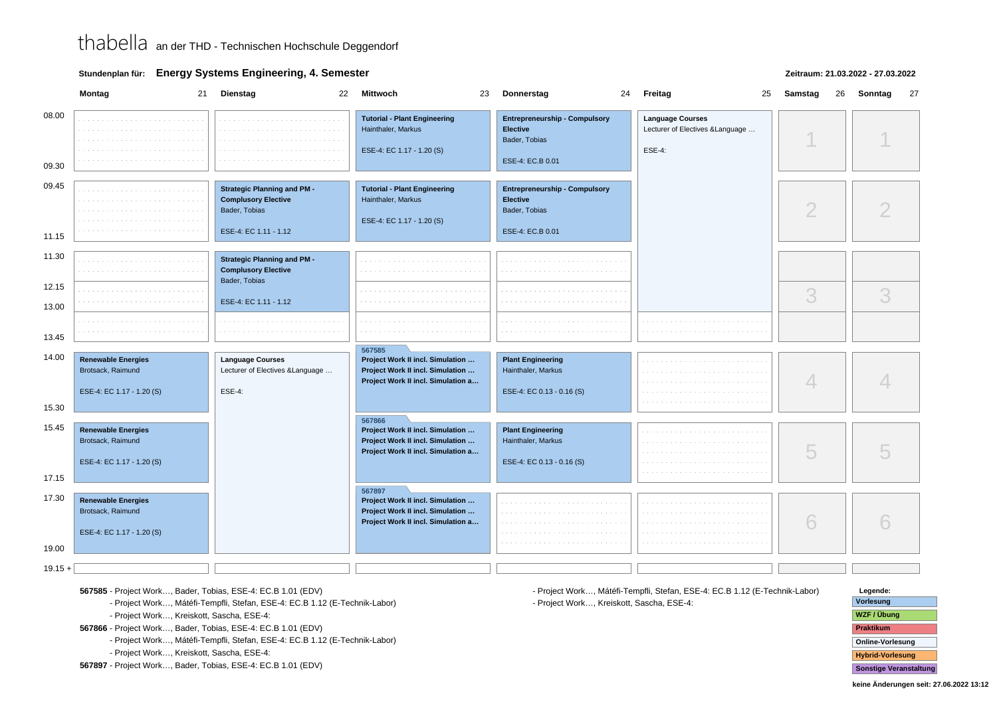**Stundenplan für: Energy Systems Engineering, 4. Semester**

### **Zeitraum: 21.03.2022 - 27.03.2022**

|                | Montag                                                                      | <b>Dienstag</b><br>21<br>22                                                                                | Mittwoch<br>23                                                                                                       | Donnerstag                                                                                   | 24 Freitag<br>25                                                             | Samstag<br>26 | Sonntag<br>27 |
|----------------|-----------------------------------------------------------------------------|------------------------------------------------------------------------------------------------------------|----------------------------------------------------------------------------------------------------------------------|----------------------------------------------------------------------------------------------|------------------------------------------------------------------------------|---------------|---------------|
| 08.00<br>09.30 |                                                                             |                                                                                                            | <b>Tutorial - Plant Engineering</b><br>Hainthaler, Markus<br>ESE-4: EC 1.17 - 1.20 (S)                               | <b>Entrepreneurship - Compulsory</b><br><b>Elective</b><br>Bader, Tobias<br>ESE-4: EC.B 0.01 | <b>Language Courses</b><br>Lecturer of Electives & Language<br><b>ESE-4:</b> |               |               |
|                |                                                                             |                                                                                                            |                                                                                                                      |                                                                                              |                                                                              |               |               |
| 09.45          |                                                                             | <b>Strategic Planning and PM -</b><br><b>Complusory Elective</b><br>Bader, Tobias<br>ESE-4: EC 1.11 - 1.12 | <b>Tutorial - Plant Engineering</b><br>Hainthaler, Markus<br>ESE-4: EC 1.17 - 1.20 (S)                               | <b>Entrepreneurship - Compulsory</b><br><b>Elective</b><br>Bader, Tobias<br>ESE-4: EC.B 0.01 |                                                                              | ◠             |               |
| 11.15          |                                                                             |                                                                                                            |                                                                                                                      |                                                                                              |                                                                              |               |               |
| 11.30          |                                                                             | <b>Strategic Planning and PM -</b><br><b>Complusory Elective</b><br>Bader, Tobias                          |                                                                                                                      |                                                                                              |                                                                              |               |               |
| 12.15<br>13.00 |                                                                             | ESE-4: EC 1.11 - 1.12                                                                                      |                                                                                                                      |                                                                                              |                                                                              | 3             | 3             |
| 13.45          |                                                                             |                                                                                                            |                                                                                                                      |                                                                                              |                                                                              |               |               |
|                |                                                                             |                                                                                                            | 567585                                                                                                               |                                                                                              |                                                                              |               |               |
| 14.00          | <b>Renewable Energies</b><br>Brotsack, Raimund<br>ESE-4: EC 1.17 - 1.20 (S) | <b>Language Courses</b><br>Lecturer of Electives & Language<br><b>ESE-4:</b>                               | Project Work II incl. Simulation<br>Project Work II incl. Simulation<br>Project Work II incl. Simulation a           | <b>Plant Engineering</b><br>Hainthaler, Markus<br>ESE-4: EC 0.13 - 0.16 (S)                  |                                                                              |               |               |
| 15.30          |                                                                             |                                                                                                            |                                                                                                                      |                                                                                              |                                                                              |               |               |
| 15.45<br>17.15 | <b>Renewable Energies</b><br>Brotsack, Raimund<br>ESE-4: EC 1.17 - 1.20 (S) |                                                                                                            | 567866<br>Project Work II incl. Simulation<br>Project Work II incl. Simulation<br>Project Work II incl. Simulation a | <b>Plant Engineering</b><br>Hainthaler, Markus<br>ESE-4: EC 0.13 - 0.16 (S)                  |                                                                              | 5             |               |
|                |                                                                             |                                                                                                            | 567897                                                                                                               |                                                                                              |                                                                              |               |               |
| 17.30          | <b>Renewable Energies</b><br>Brotsack, Raimund<br>ESE-4: EC 1.17 - 1.20 (S) |                                                                                                            | Project Work II incl. Simulation<br>Project Work II incl. Simulation<br>Project Work II incl. Simulation a           |                                                                                              |                                                                              | 6             |               |
| 19.00          |                                                                             |                                                                                                            |                                                                                                                      |                                                                                              |                                                                              |               |               |
| $19.15 +$      |                                                                             |                                                                                                            |                                                                                                                      |                                                                                              |                                                                              |               |               |

**567585** - Project Work…, Bader, Tobias, ESE-4: EC.B 1.01 (EDV)

**567585** - Project Work…, Mátéfi-Tempfli, Stefan, ESE-4: EC.B 1.12 (E-Technik-Labor)

**567585** - Project Work…, Kreiskott, Sascha, ESE-4:

**567866** - Project Work…, Bader, Tobias, ESE-4: EC.B 1.01 (EDV)

**567866** - Project Work…, Mátéfi-Tempfli, Stefan, ESE-4: EC.B 1.12 (E-Technik-Labor)

**567866** - Project Work…, Kreiskott, Sascha, ESE-4:

**567897** - Project Work…, Bader, Tobias, ESE-4: EC.B 1.01 (EDV)

**567897** - Project Work…, Mátéfi-Tempfli, Stefan, ESE-4: EC.B 1.12 (E-Technik-Labor)**567897** - Project Work…, Kreiskott, Sascha, ESE-4:

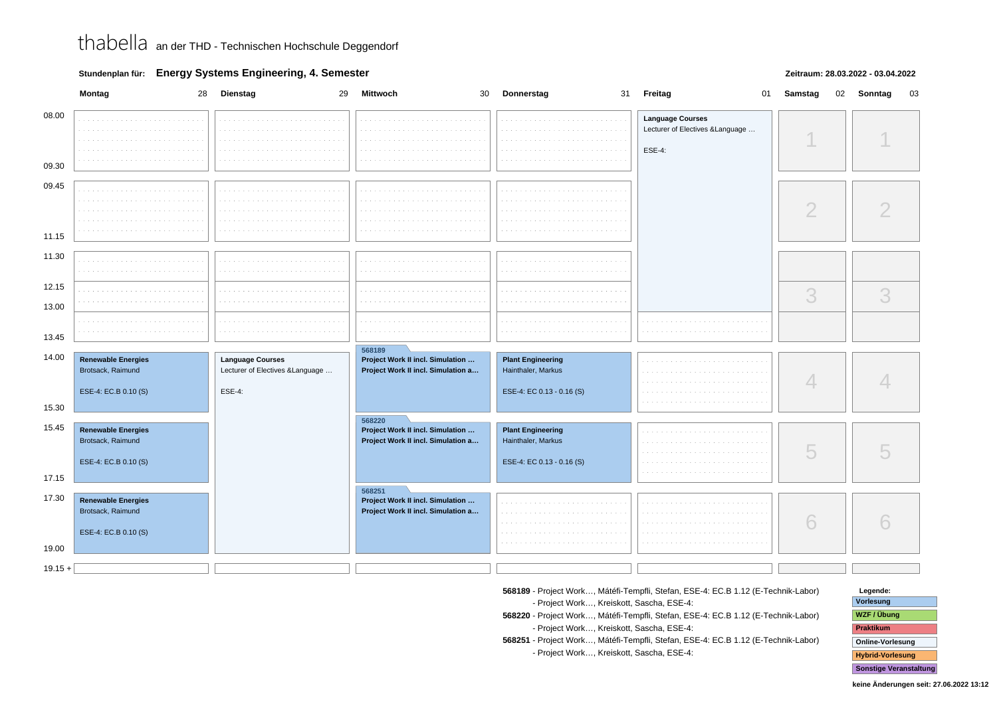**Stundenplan für: Energy Systems Engineering, 4. Semester**

### **Zeitraum: 28.03.2022 - 03.04.2022**

| <b>Language Courses</b><br>Lecturer of Electives & Language<br><b>ESE-4:</b><br>09.45<br>$\bigcirc$<br>3<br>3<br>568189<br><b>Renewable Energies</b><br><b>Language Courses</b><br>Project Work II incl. Simulation<br><b>Plant Engineering</b><br>Brotsack, Raimund<br>Lecturer of Electives & Language<br>Project Work II incl. Simulation a<br>Hainthaler, Markus<br>4<br>ESE-4: EC.B 0.10 (S)<br><b>ESE-4:</b><br>ESE-4: EC 0.13 - 0.16 (S)<br>568220<br><b>Renewable Energies</b><br>Project Work II incl. Simulation<br><b>Plant Engineering</b><br>Brotsack, Raimund<br>Project Work II incl. Simulation a<br>Hainthaler, Markus<br>5<br>ESE-4: EC.B 0.10 (S)<br>ESE-4: EC 0.13 - 0.16 (S)<br>17.15<br>568251<br><b>Renewable Energies</b><br>Project Work II incl. Simulation<br>Brotsack, Raimund<br>Project Work II incl. Simulation a<br>6<br>ESE-4: EC.B 0.10 (S)<br>$19.15 +$ |                | Montag<br>28 | Dienstag<br>29 | Mittwoch | 30 Donnerstag | 31 Freitag<br>01 | Samstag | 02 Sonntag<br>03 |
|--------------------------------------------------------------------------------------------------------------------------------------------------------------------------------------------------------------------------------------------------------------------------------------------------------------------------------------------------------------------------------------------------------------------------------------------------------------------------------------------------------------------------------------------------------------------------------------------------------------------------------------------------------------------------------------------------------------------------------------------------------------------------------------------------------------------------------------------------------------------------------------------|----------------|--------------|----------------|----------|---------------|------------------|---------|------------------|
|                                                                                                                                                                                                                                                                                                                                                                                                                                                                                                                                                                                                                                                                                                                                                                                                                                                                                            | 08.00<br>09.30 |              |                |          |               |                  |         |                  |
|                                                                                                                                                                                                                                                                                                                                                                                                                                                                                                                                                                                                                                                                                                                                                                                                                                                                                            |                |              |                |          |               |                  |         |                  |
|                                                                                                                                                                                                                                                                                                                                                                                                                                                                                                                                                                                                                                                                                                                                                                                                                                                                                            |                |              |                |          |               |                  |         |                  |
|                                                                                                                                                                                                                                                                                                                                                                                                                                                                                                                                                                                                                                                                                                                                                                                                                                                                                            | 11.15          |              |                |          |               |                  |         |                  |
|                                                                                                                                                                                                                                                                                                                                                                                                                                                                                                                                                                                                                                                                                                                                                                                                                                                                                            | 11.30          |              |                |          |               |                  |         |                  |
|                                                                                                                                                                                                                                                                                                                                                                                                                                                                                                                                                                                                                                                                                                                                                                                                                                                                                            | 12.15          |              |                |          |               |                  |         |                  |
|                                                                                                                                                                                                                                                                                                                                                                                                                                                                                                                                                                                                                                                                                                                                                                                                                                                                                            | 13.00          |              |                |          |               |                  |         |                  |
|                                                                                                                                                                                                                                                                                                                                                                                                                                                                                                                                                                                                                                                                                                                                                                                                                                                                                            | 13.45          |              |                |          |               |                  |         |                  |
|                                                                                                                                                                                                                                                                                                                                                                                                                                                                                                                                                                                                                                                                                                                                                                                                                                                                                            | 14.00          |              |                |          |               |                  |         |                  |
|                                                                                                                                                                                                                                                                                                                                                                                                                                                                                                                                                                                                                                                                                                                                                                                                                                                                                            | 15.30          |              |                |          |               |                  |         |                  |
|                                                                                                                                                                                                                                                                                                                                                                                                                                                                                                                                                                                                                                                                                                                                                                                                                                                                                            | 15.45          |              |                |          |               |                  |         |                  |
|                                                                                                                                                                                                                                                                                                                                                                                                                                                                                                                                                                                                                                                                                                                                                                                                                                                                                            | 17.30<br>19.00 |              |                |          |               |                  |         |                  |
|                                                                                                                                                                                                                                                                                                                                                                                                                                                                                                                                                                                                                                                                                                                                                                                                                                                                                            |                |              |                |          |               |                  |         |                  |

- **568189** Project Work…, Mátéfi-Tempfli, Stefan, ESE-4: EC.B 1.12 (E-Technik-Labor)**568189** - Project Work…, Kreiskott, Sascha, ESE-4:
- **568220** Project Work…, Mátéfi-Tempfli, Stefan, ESE-4: EC.B 1.12 (E-Technik-Labor)**568220** - Project Work…, Kreiskott, Sascha, ESE-4:
- **568251** Project Work…, Mátéfi-Tempfli, Stefan, ESE-4: EC.B 1.12 (E-Technik-Labor)**568251** - Project Work…, Kreiskott, Sascha, ESE-4:

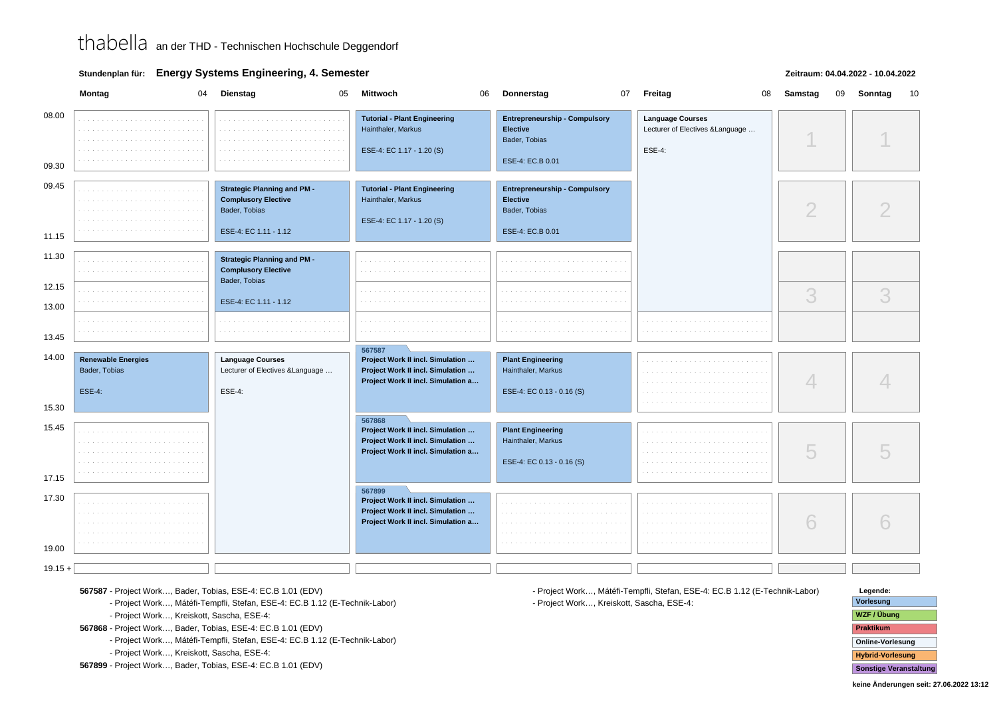**Stundenplan für: Energy Systems Engineering, 4. Semester**

### **Zeitraum: 04.04.2022 - 10.04.2022**

|                | Montag<br>04                                                | <b>Dienstag</b><br>05                                                                                      | <b>Mittwoch</b><br>06                                                                                                | Donnerstag                                                                                   | 07 Freitag<br>08                                                             | Samstag<br>09 | Sonntag<br>10 |
|----------------|-------------------------------------------------------------|------------------------------------------------------------------------------------------------------------|----------------------------------------------------------------------------------------------------------------------|----------------------------------------------------------------------------------------------|------------------------------------------------------------------------------|---------------|---------------|
| 08.00<br>09.30 |                                                             |                                                                                                            | <b>Tutorial - Plant Engineering</b><br>Hainthaler, Markus<br>ESE-4: EC 1.17 - 1.20 (S)                               | <b>Entrepreneurship - Compulsory</b><br><b>Elective</b><br>Bader, Tobias<br>ESE-4: EC.B 0.01 | <b>Language Courses</b><br>Lecturer of Electives & Language<br><b>ESE-4:</b> |               |               |
| 09.45<br>11.15 |                                                             | <b>Strategic Planning and PM -</b><br><b>Complusory Elective</b><br>Bader, Tobias<br>ESE-4: EC 1.11 - 1.12 | <b>Tutorial - Plant Engineering</b><br>Hainthaler, Markus<br>ESE-4: EC 1.17 - 1.20 (S)                               | <b>Entrepreneurship - Compulsory</b><br><b>Elective</b><br>Bader, Tobias<br>ESE-4: EC.B 0.01 |                                                                              | $\mathcal{D}$ |               |
| 11.30<br>12.15 |                                                             | <b>Strategic Planning and PM -</b><br><b>Complusory Elective</b><br>Bader, Tobias                          |                                                                                                                      |                                                                                              |                                                                              | 3             | 3             |
| 13.00<br>13.45 |                                                             | ESE-4: EC 1.11 - 1.12                                                                                      | 567587                                                                                                               |                                                                                              |                                                                              |               |               |
| 14.00<br>15.30 | <b>Renewable Energies</b><br>Bader, Tobias<br><b>ESE-4:</b> | <b>Language Courses</b><br>Lecturer of Electives & Language<br><b>ESE-4:</b>                               | Project Work II incl. Simulation<br>Project Work II incl. Simulation<br>Project Work II incl. Simulation a           | <b>Plant Engineering</b><br>Hainthaler, Markus<br>ESE-4: EC 0.13 - 0.16 (S)                  |                                                                              |               |               |
| 15.45<br>17.15 |                                                             |                                                                                                            | 567868<br>Project Work II incl. Simulation<br>Project Work II incl. Simulation<br>Project Work II incl. Simulation a | <b>Plant Engineering</b><br>Hainthaler, Markus<br>ESE-4: EC 0.13 - 0.16 (S)                  |                                                                              | 5             |               |
| 17.30<br>19.00 |                                                             |                                                                                                            | 567899<br>Project Work II incl. Simulation<br>Project Work II incl. Simulation<br>Project Work II incl. Simulation a |                                                                                              |                                                                              | 6             |               |
| $19.15 +$      |                                                             |                                                                                                            |                                                                                                                      |                                                                                              |                                                                              |               |               |

**567587** - Project Work…, Bader, Tobias, ESE-4: EC.B 1.01 (EDV)

**567587** - Project Work…, Mátéfi-Tempfli, Stefan, ESE-4: EC.B 1.12 (E-Technik-Labor)

**567587** - Project Work…, Kreiskott, Sascha, ESE-4:

**567868** - Project Work…, Bader, Tobias, ESE-4: EC.B 1.01 (EDV)

**567868** - Project Work…, Mátéfi-Tempfli, Stefan, ESE-4: EC.B 1.12 (E-Technik-Labor)

**567868** - Project Work…, Kreiskott, Sascha, ESE-4:

**567899** - Project Work…, Bader, Tobias, ESE-4: EC.B 1.01 (EDV)

**567899** - Project Work…, Mátéfi-Tempfli, Stefan, ESE-4: EC.B 1.12 (E-Technik-Labor)**567899** - Project Work…, Kreiskott, Sascha, ESE-4:

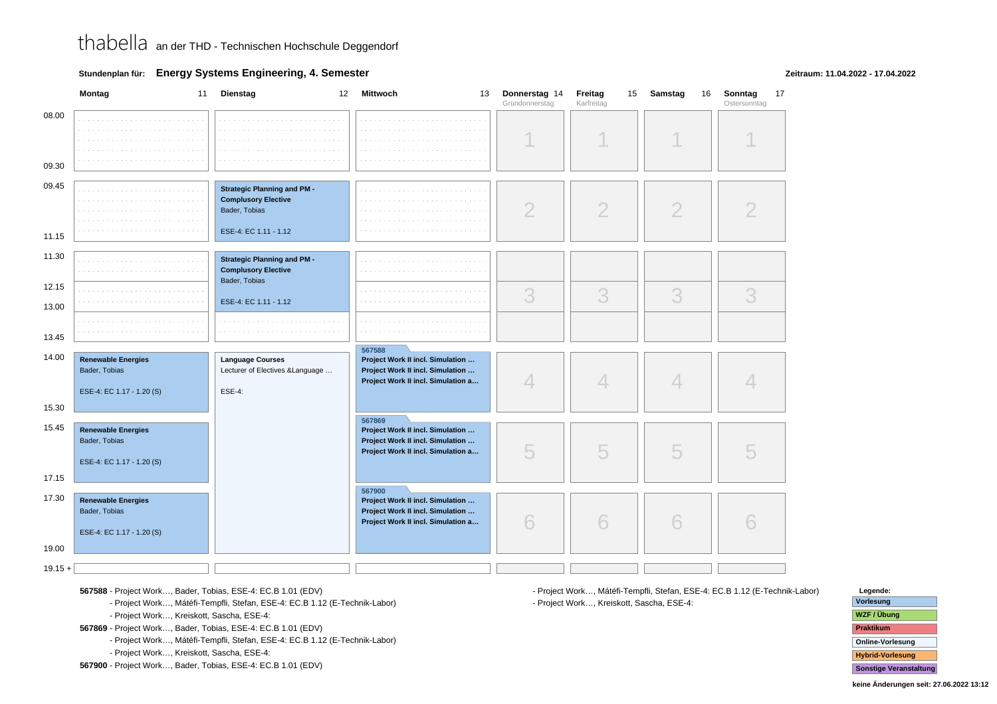**Stundenplan für: Energy Systems Engineering, 4. Semester**

### **Zeitraum: 11.04.2022 - 17.04.2022**

|                    | Montag<br>11                                                            | Dienstag<br>12                                                                                             | Mittwoch<br>13                                                                                                       | Donnerstag 14<br>Gründonnerstag | 15<br>Freitag<br>Karfreitag | Samstag<br>16  | Sonntag<br>17<br>Ostersonntag |
|--------------------|-------------------------------------------------------------------------|------------------------------------------------------------------------------------------------------------|----------------------------------------------------------------------------------------------------------------------|---------------------------------|-----------------------------|----------------|-------------------------------|
| 08.00<br>09.30     |                                                                         |                                                                                                            |                                                                                                                      |                                 |                             |                |                               |
| 09.45<br>11.15     |                                                                         | <b>Strategic Planning and PM -</b><br><b>Complusory Elective</b><br>Bader, Tobias<br>ESE-4: EC 1.11 - 1.12 |                                                                                                                      |                                 | 2                           | $\overline{2}$ |                               |
| 11.30              |                                                                         | <b>Strategic Planning and PM -</b><br><b>Complusory Elective</b><br>Bader, Tobias                          |                                                                                                                      |                                 |                             |                |                               |
| 12.15<br>13.00     |                                                                         | ESE-4: EC 1.11 - 1.12                                                                                      |                                                                                                                      | 3                               | 3                           | 3              | 3                             |
| 13.45              |                                                                         | a de la carra de la carra de la carra de la                                                                |                                                                                                                      |                                 |                             |                |                               |
| 14.00              | <b>Renewable Energies</b><br>Bader, Tobias<br>ESE-4: EC 1.17 - 1.20 (S) | <b>Language Courses</b><br>Lecturer of Electives & Language<br><b>ESE-4:</b>                               | 567588<br>Project Work II incl. Simulation<br>Project Work II incl. Simulation<br>Project Work II incl. Simulation a | $\overline{\mathcal{A}}$        | 4                           | 4              |                               |
| 15.30              |                                                                         |                                                                                                            | 567869                                                                                                               |                                 |                             |                |                               |
| 15.45<br>17.15     | <b>Renewable Energies</b><br>Bader, Tobias<br>ESE-4: EC 1.17 - 1.20 (S) |                                                                                                            | Project Work II incl. Simulation<br>Project Work II incl. Simulation<br>Project Work II incl. Simulation a           | 5                               | 5                           | 5              |                               |
| 17.30              | <b>Renewable Energies</b><br>Bader, Tobias<br>ESE-4: EC 1.17 - 1.20 (S) |                                                                                                            | 567900<br>Project Work II incl. Simulation<br>Project Work II incl. Simulation<br>Project Work II incl. Simulation a | 6                               | 6                           | 6              |                               |
| 19.00<br>$19.15 +$ |                                                                         |                                                                                                            |                                                                                                                      |                                 |                             |                |                               |
|                    |                                                                         |                                                                                                            |                                                                                                                      |                                 |                             |                |                               |

**567588** - Project Work…, Bader, Tobias, ESE-4: EC.B 1.01 (EDV)

**567588** - Project Work…, Mátéfi-Tempfli, Stefan, ESE-4: EC.B 1.12 (E-Technik-Labor)

**567588** - Project Work…, Kreiskott, Sascha, ESE-4:

**567869** - Project Work…, Bader, Tobias, ESE-4: EC.B 1.01 (EDV)

**567869** - Project Work…, Mátéfi-Tempfli, Stefan, ESE-4: EC.B 1.12 (E-Technik-Labor)

**567869** - Project Work…, Kreiskott, Sascha, ESE-4:

**567900** - Project Work…, Bader, Tobias, ESE-4: EC.B 1.01 (EDV)

**567900** - Project Work…, Mátéfi-Tempfli, Stefan, ESE-4: EC.B 1.12 (E-Technik-Labor)**567900** - Project Work…, Kreiskott, Sascha, ESE-4:

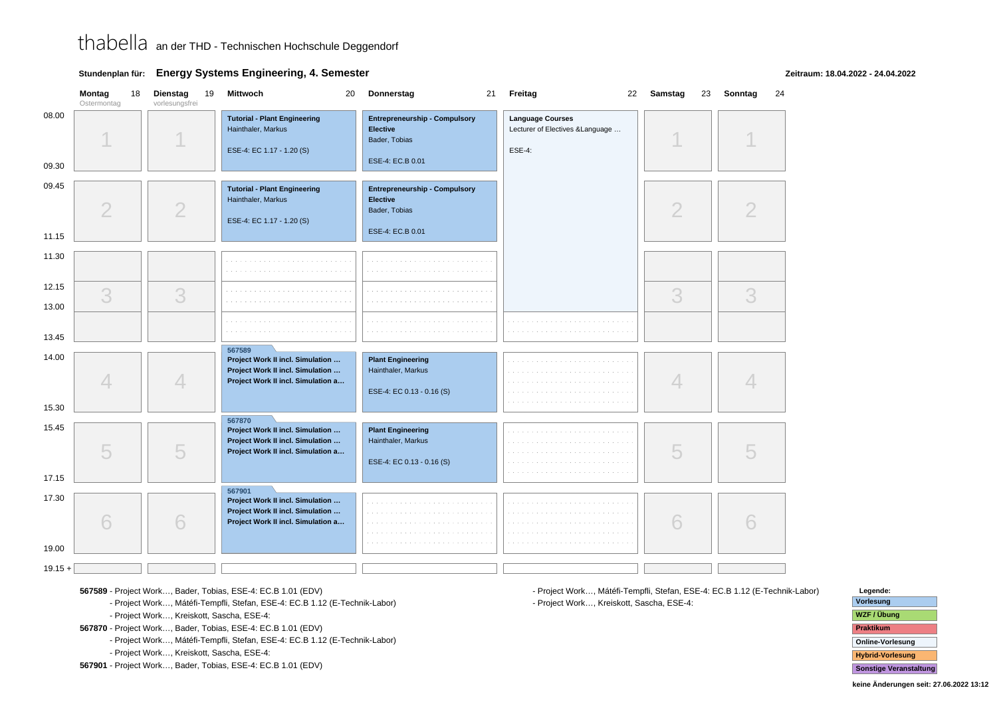**Stundenplan für: Energy Systems Engineering, 4. Semester**

**Zeitraum: 18.04.2022 - 24.04.2022**

|                | Montag<br>Ostermontag | 18 | Dienstag<br>19<br>vorlesungsfrei | Mittwoch<br>20                                                                                             | Donnerstag<br>21                                                                             | Freitag                                                               | 22 Samstag<br>23 | Sonntag<br>24 |
|----------------|-----------------------|----|----------------------------------|------------------------------------------------------------------------------------------------------------|----------------------------------------------------------------------------------------------|-----------------------------------------------------------------------|------------------|---------------|
| 08.00<br>09.30 |                       |    |                                  | <b>Tutorial - Plant Engineering</b><br>Hainthaler, Markus<br>ESE-4: EC 1.17 - 1.20 (S)                     | <b>Entrepreneurship - Compulsory</b><br><b>Elective</b><br>Bader, Tobias<br>ESE-4: EC.B 0.01 | <b>Language Courses</b><br>Lecturer of Electives & Language<br>ESE-4: |                  |               |
| 09.45<br>11.15 | $\overline{2}$        |    | $\overline{2}$                   | <b>Tutorial - Plant Engineering</b><br>Hainthaler, Markus<br>ESE-4: EC 1.17 - 1.20 (S)                     | <b>Entrepreneurship - Compulsory</b><br><b>Elective</b><br>Bader, Tobias<br>ESE-4: EC.B 0.01 |                                                                       | $\overline{2}$   |               |
| 11.30          |                       |    |                                  |                                                                                                            |                                                                                              |                                                                       |                  |               |
| 12.15<br>13.00 | 3                     |    | 3                                |                                                                                                            |                                                                                              |                                                                       | 3                | 3             |
| 13.45          |                       |    |                                  | 567589                                                                                                     |                                                                                              | contractors.                                                          |                  |               |
| 14.00          | $\overline{4}$        |    | 4                                | Project Work II incl. Simulation<br>Project Work II incl. Simulation<br>Project Work II incl. Simulation a | <b>Plant Engineering</b><br>Hainthaler, Markus<br>ESE-4: EC 0.13 - 0.16 (S)                  |                                                                       | 4                |               |
| 15.30          |                       |    |                                  | 567870                                                                                                     |                                                                                              |                                                                       |                  |               |
| 15.45<br>17.15 | 5                     |    | 5                                | Project Work II incl. Simulation<br>Project Work II incl. Simulation<br>Project Work II incl. Simulation a | <b>Plant Engineering</b><br>Hainthaler, Markus<br>ESE-4: EC 0.13 - 0.16 (S)                  |                                                                       | 5                |               |
|                |                       |    |                                  | 567901                                                                                                     |                                                                                              |                                                                       |                  |               |
| 17.30<br>19.00 | 6                     |    | 6                                | Project Work II incl. Simulation<br>Project Work II incl. Simulation<br>Project Work II incl. Simulation a |                                                                                              |                                                                       | 6                |               |
|                |                       |    |                                  |                                                                                                            |                                                                                              |                                                                       |                  |               |
| $19.15 +$      |                       |    |                                  |                                                                                                            |                                                                                              |                                                                       |                  |               |

**567589** - Project Work…, Bader, Tobias, ESE-4: EC.B 1.01 (EDV)

**567589** - Project Work…, Mátéfi-Tempfli, Stefan, ESE-4: EC.B 1.12 (E-Technik-Labor)

**567589** - Project Work…, Kreiskott, Sascha, ESE-4:

**567870** - Project Work…, Bader, Tobias, ESE-4: EC.B 1.01 (EDV)

**567870** - Project Work…, Mátéfi-Tempfli, Stefan, ESE-4: EC.B 1.12 (E-Technik-Labor)

**567870** - Project Work…, Kreiskott, Sascha, ESE-4:

**567901** - Project Work…, Bader, Tobias, ESE-4: EC.B 1.01 (EDV)

**567901** - Project Work…, Mátéfi-Tempfli, Stefan, ESE-4: EC.B 1.12 (E-Technik-Labor)**567901** - Project Work…, Kreiskott, Sascha, ESE-4:

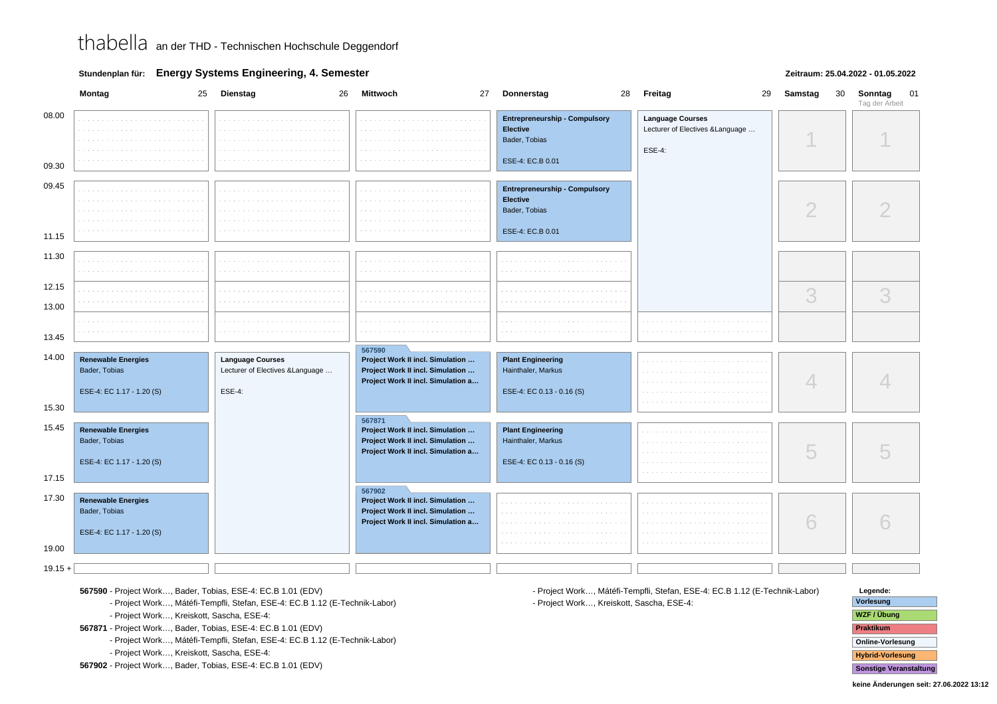**Stundenplan für: Energy Systems Engineering, 4. Semester**

### **Zeitraum: 25.04.2022 - 01.05.2022**

|                | 25<br>Montag                                                            | Dienstag<br>26                                                        | 27<br>Mittwoch                                                                                                       | 28<br>Donnerstag                                                                             | 29<br>Freitag                                                                | 30<br>Samstag | 01<br>Sonntag<br>Tag der Arbeit |
|----------------|-------------------------------------------------------------------------|-----------------------------------------------------------------------|----------------------------------------------------------------------------------------------------------------------|----------------------------------------------------------------------------------------------|------------------------------------------------------------------------------|---------------|---------------------------------|
| 08.00<br>09.30 |                                                                         |                                                                       |                                                                                                                      | <b>Entrepreneurship - Compulsory</b><br><b>Elective</b><br>Bader, Tobias<br>ESE-4: EC.B 0.01 | <b>Language Courses</b><br>Lecturer of Electives & Language<br><b>ESE-4:</b> |               |                                 |
|                |                                                                         |                                                                       |                                                                                                                      |                                                                                              |                                                                              |               |                                 |
| 09.45          |                                                                         |                                                                       |                                                                                                                      | <b>Entrepreneurship - Compulsory</b><br>Elective<br>Bader, Tobias                            |                                                                              | $\mathcal{D}$ |                                 |
| 11.15          |                                                                         |                                                                       |                                                                                                                      | ESE-4: EC.B 0.01                                                                             |                                                                              |               |                                 |
| 11.30          |                                                                         |                                                                       |                                                                                                                      |                                                                                              |                                                                              |               |                                 |
| 12.15          |                                                                         |                                                                       |                                                                                                                      |                                                                                              |                                                                              | 3             | 3                               |
| 13.00          |                                                                         |                                                                       |                                                                                                                      |                                                                                              |                                                                              |               |                                 |
| 13.45          |                                                                         |                                                                       |                                                                                                                      |                                                                                              |                                                                              |               |                                 |
| 14.00          |                                                                         |                                                                       | 567590                                                                                                               |                                                                                              |                                                                              |               |                                 |
|                | <b>Renewable Energies</b><br>Bader, Tobias<br>ESE-4: EC 1.17 - 1.20 (S) | <b>Language Courses</b><br>Lecturer of Electives & Language<br>ESE-4: | Project Work II incl. Simulation<br>Project Work II incl. Simulation<br>Project Work II incl. Simulation a           | <b>Plant Engineering</b><br>Hainthaler, Markus<br>ESE-4: EC 0.13 - 0.16 (S)                  |                                                                              | 4             |                                 |
| 15.30          |                                                                         |                                                                       |                                                                                                                      |                                                                                              |                                                                              |               |                                 |
| 15.45          | <b>Renewable Energies</b><br>Bader, Tobias<br>ESE-4: EC 1.17 - 1.20 (S) |                                                                       | 567871<br>Project Work II incl. Simulation<br>Project Work II incl. Simulation<br>Project Work II incl. Simulation a | <b>Plant Engineering</b><br>Hainthaler, Markus<br>ESE-4: EC 0.13 - 0.16 (S)                  |                                                                              | 5             |                                 |
| 17.15          |                                                                         |                                                                       | 567902                                                                                                               |                                                                                              |                                                                              |               |                                 |
| 17.30          | <b>Renewable Energies</b><br>Bader, Tobias<br>ESE-4: EC 1.17 - 1.20 (S) |                                                                       | Project Work II incl. Simulation<br>Project Work II incl. Simulation<br>Project Work II incl. Simulation a           |                                                                                              |                                                                              | 6             |                                 |
| 19.00          |                                                                         |                                                                       |                                                                                                                      |                                                                                              |                                                                              |               |                                 |
| $19.15 +$      |                                                                         |                                                                       |                                                                                                                      |                                                                                              |                                                                              |               |                                 |

**567590** - Project Work…, Bader, Tobias, ESE-4: EC.B 1.01 (EDV)

**567590** - Project Work…, Mátéfi-Tempfli, Stefan, ESE-4: EC.B 1.12 (E-Technik-Labor)

**567590** - Project Work…, Kreiskott, Sascha, ESE-4:

**567871** - Project Work…, Bader, Tobias, ESE-4: EC.B 1.01 (EDV)

**567871** - Project Work…, Mátéfi-Tempfli, Stefan, ESE-4: EC.B 1.12 (E-Technik-Labor)

**567871** - Project Work…, Kreiskott, Sascha, ESE-4:

**567902** - Project Work…, Bader, Tobias, ESE-4: EC.B 1.01 (EDV)

**567902** - Project Work…, Mátéfi-Tempfli, Stefan, ESE-4: EC.B 1.12 (E-Technik-Labor)**567902** - Project Work…, Kreiskott, Sascha, ESE-4:

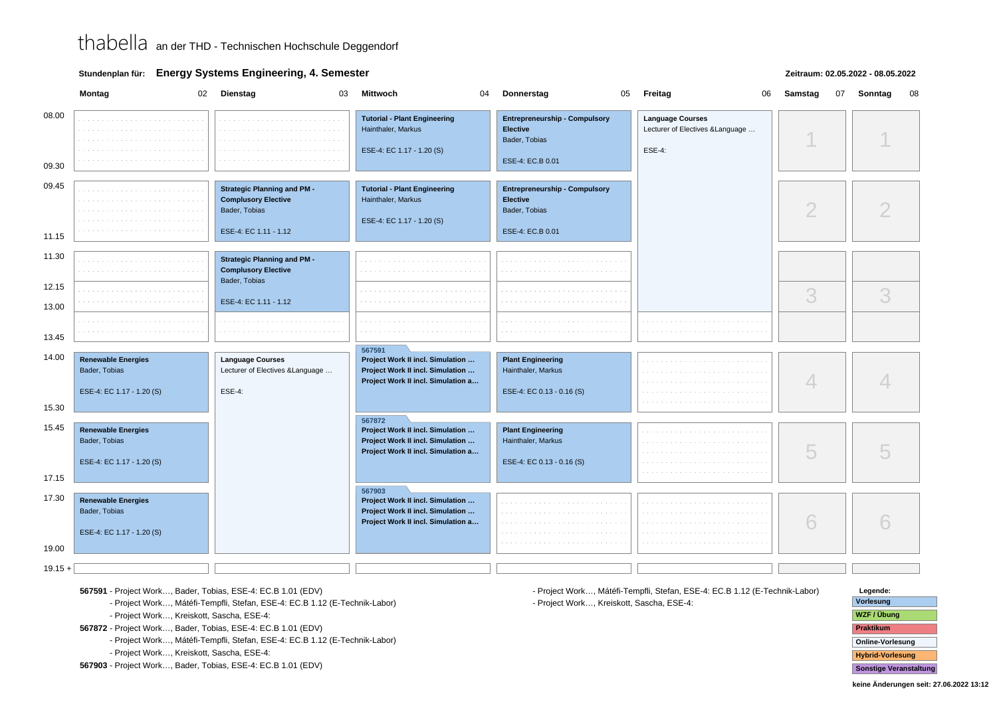**Stundenplan für: Energy Systems Engineering, 4. Semester**

### **Zeitraum: 02.05.2022 - 08.05.2022**

|                | Montag                                                                  | 02 Dienstag<br>03                                                                                          | <b>Mittwoch</b><br>04                                                                                                | Donnerstag<br>05                                                                             | 06<br><b>Freitag</b>                                                         | Samstag<br>07 | Sonntag<br>08 |
|----------------|-------------------------------------------------------------------------|------------------------------------------------------------------------------------------------------------|----------------------------------------------------------------------------------------------------------------------|----------------------------------------------------------------------------------------------|------------------------------------------------------------------------------|---------------|---------------|
| 08.00<br>09.30 |                                                                         |                                                                                                            | <b>Tutorial - Plant Engineering</b><br>Hainthaler, Markus<br>ESE-4: EC 1.17 - 1.20 (S)                               | <b>Entrepreneurship - Compulsory</b><br><b>Elective</b><br>Bader, Tobias<br>ESE-4: EC.B 0.01 | <b>Language Courses</b><br>Lecturer of Electives & Language<br><b>ESE-4:</b> |               |               |
| 09.45<br>11.15 |                                                                         | <b>Strategic Planning and PM -</b><br><b>Complusory Elective</b><br>Bader, Tobias<br>ESE-4: EC 1.11 - 1.12 | <b>Tutorial - Plant Engineering</b><br>Hainthaler, Markus<br>ESE-4: EC 1.17 - 1.20 (S)                               | <b>Entrepreneurship - Compulsory</b><br><b>Elective</b><br>Bader, Tobias<br>ESE-4: EC.B 0.01 |                                                                              | $\mathcal{D}$ |               |
| 11.30          |                                                                         | <b>Strategic Planning and PM -</b><br><b>Complusory Elective</b><br>Bader, Tobias                          |                                                                                                                      |                                                                                              |                                                                              |               |               |
| 12.15<br>13.00 |                                                                         | ESE-4: EC 1.11 - 1.12                                                                                      |                                                                                                                      |                                                                                              |                                                                              | 3             | 3             |
| 13.45          |                                                                         |                                                                                                            |                                                                                                                      |                                                                                              |                                                                              |               |               |
| 14.00          | <b>Renewable Energies</b><br>Bader, Tobias<br>ESE-4: EC 1.17 - 1.20 (S) | <b>Language Courses</b><br>Lecturer of Electives & Language<br><b>ESE-4:</b>                               | 567591<br>Project Work II incl. Simulation<br>Project Work II incl. Simulation<br>Project Work II incl. Simulation a | <b>Plant Engineering</b><br>Hainthaler, Markus<br>ESE-4: EC 0.13 - 0.16 (S)                  |                                                                              | 4             |               |
| 15.30          |                                                                         |                                                                                                            |                                                                                                                      |                                                                                              |                                                                              |               |               |
| 15.45<br>17.15 | <b>Renewable Energies</b><br>Bader, Tobias<br>ESE-4: EC 1.17 - 1.20 (S) |                                                                                                            | 567872<br>Project Work II incl. Simulation<br>Project Work II incl. Simulation<br>Project Work II incl. Simulation a | <b>Plant Engineering</b><br>Hainthaler, Markus<br>ESE-4: EC 0.13 - 0.16 (S)                  |                                                                              | 5             |               |
| 17.30<br>19.00 | <b>Renewable Energies</b><br>Bader, Tobias<br>ESE-4: EC 1.17 - 1.20 (S) |                                                                                                            | 567903<br>Project Work II incl. Simulation<br>Project Work II incl. Simulation<br>Project Work II incl. Simulation a |                                                                                              |                                                                              | 6             |               |
| $19.15 +$      |                                                                         |                                                                                                            |                                                                                                                      |                                                                                              |                                                                              |               |               |

**567591** - Project Work…, Bader, Tobias, ESE-4: EC.B 1.01 (EDV)

**567591** - Project Work…, Mátéfi-Tempfli, Stefan, ESE-4: EC.B 1.12 (E-Technik-Labor)

**567591** - Project Work…, Kreiskott, Sascha, ESE-4:

**567872** - Project Work…, Bader, Tobias, ESE-4: EC.B 1.01 (EDV)

**567872** - Project Work…, Mátéfi-Tempfli, Stefan, ESE-4: EC.B 1.12 (E-Technik-Labor)

**567872** - Project Work…, Kreiskott, Sascha, ESE-4:

**567903** - Project Work…, Bader, Tobias, ESE-4: EC.B 1.01 (EDV)

**567903** - Project Work…, Mátéfi-Tempfli, Stefan, ESE-4: EC.B 1.12 (E-Technik-Labor)**567903** - Project Work…, Kreiskott, Sascha, ESE-4:

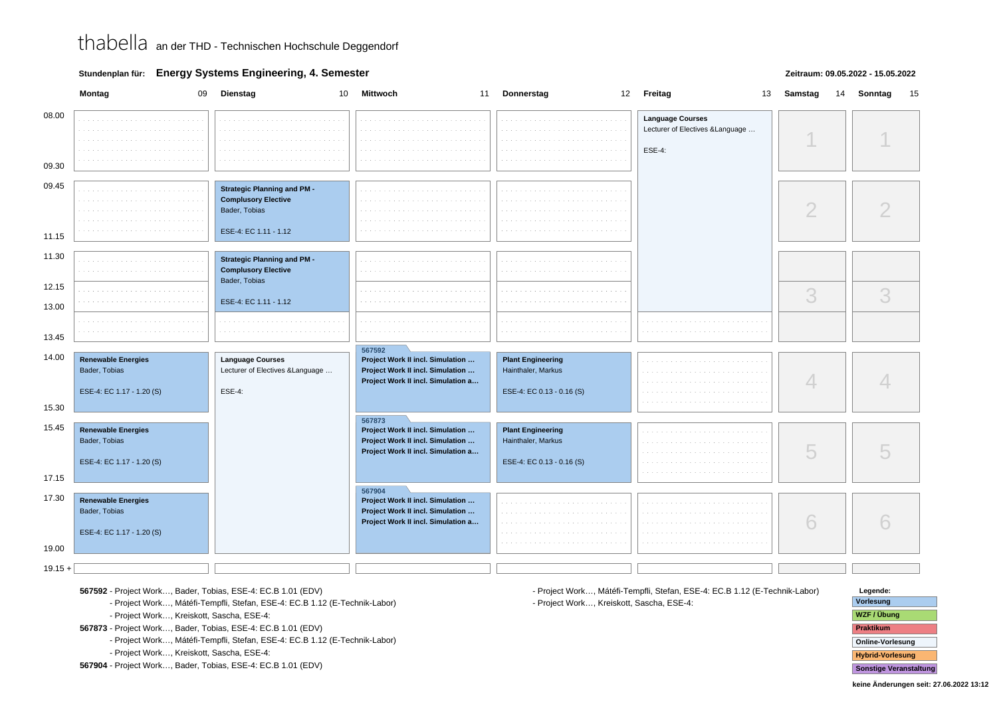**Stundenplan für: Energy Systems Engineering, 4. Semester**

### **Zeitraum: 09.05.2022 - 15.05.2022**

|                         | Montag<br>09                                                            | Dienstag<br>10                                                                                             | <b>Mittwoch</b><br>11                                                                                                | Donnerstag<br>12                                                            | Freitag<br>13                                                                | Samstag<br>14 | Sonntag<br>15 |
|-------------------------|-------------------------------------------------------------------------|------------------------------------------------------------------------------------------------------------|----------------------------------------------------------------------------------------------------------------------|-----------------------------------------------------------------------------|------------------------------------------------------------------------------|---------------|---------------|
| 08.00<br>09.30          |                                                                         |                                                                                                            |                                                                                                                      |                                                                             | <b>Language Courses</b><br>Lecturer of Electives & Language<br><b>ESE-4:</b> |               |               |
| 09.45<br>11.15          |                                                                         | <b>Strategic Planning and PM -</b><br><b>Complusory Elective</b><br>Bader, Tobias<br>ESE-4: EC 1.11 - 1.12 |                                                                                                                      |                                                                             |                                                                              | ∩             |               |
| 11.30                   |                                                                         | <b>Strategic Planning and PM -</b><br><b>Complusory Elective</b><br>Bader, Tobias                          |                                                                                                                      |                                                                             |                                                                              |               |               |
| 12.15<br>13.00          |                                                                         | ESE-4: EC 1.11 - 1.12                                                                                      |                                                                                                                      |                                                                             |                                                                              | 3             | 3             |
| 13.45                   |                                                                         |                                                                                                            |                                                                                                                      |                                                                             |                                                                              |               |               |
| 14.00                   | <b>Renewable Energies</b><br>Bader, Tobias<br>ESE-4: EC 1.17 - 1.20 (S) | <b>Language Courses</b><br>Lecturer of Electives & Language<br><b>ESE-4:</b>                               | 567592<br>Project Work II incl. Simulation<br>Project Work II incl. Simulation<br>Project Work II incl. Simulation a | <b>Plant Engineering</b><br>Hainthaler, Markus<br>ESE-4: EC 0.13 - 0.16 (S) |                                                                              |               |               |
| 15.30<br>15.45<br>17.15 | <b>Renewable Energies</b><br>Bader, Tobias<br>ESE-4: EC 1.17 - 1.20 (S) |                                                                                                            | 567873<br>Project Work II incl. Simulation<br>Project Work II incl. Simulation<br>Project Work II incl. Simulation a | <b>Plant Engineering</b><br>Hainthaler, Markus<br>ESE-4: EC 0.13 - 0.16 (S) |                                                                              | 5             |               |
| 17.30<br>19.00          | <b>Renewable Energies</b><br>Bader, Tobias<br>ESE-4: EC 1.17 - 1.20 (S) |                                                                                                            | 567904<br>Project Work II incl. Simulation<br>Project Work II incl. Simulation<br>Project Work II incl. Simulation a |                                                                             |                                                                              | 6             |               |
| $19.15 +$               |                                                                         |                                                                                                            |                                                                                                                      |                                                                             |                                                                              |               |               |

**567592** - Project Work…, Bader, Tobias, ESE-4: EC.B 1.01 (EDV)

**567592** - Project Work…, Mátéfi-Tempfli, Stefan, ESE-4: EC.B 1.12 (E-Technik-Labor)

**567592** - Project Work…, Kreiskott, Sascha, ESE-4:

**567873** - Project Work…, Bader, Tobias, ESE-4: EC.B 1.01 (EDV)

**567873** - Project Work…, Mátéfi-Tempfli, Stefan, ESE-4: EC.B 1.12 (E-Technik-Labor)

**567873** - Project Work…, Kreiskott, Sascha, ESE-4:

**567904** - Project Work…, Bader, Tobias, ESE-4: EC.B 1.01 (EDV)

**567904** - Project Work…, Mátéfi-Tempfli, Stefan, ESE-4: EC.B 1.12 (E-Technik-Labor)**567904** - Project Work…, Kreiskott, Sascha, ESE-4:

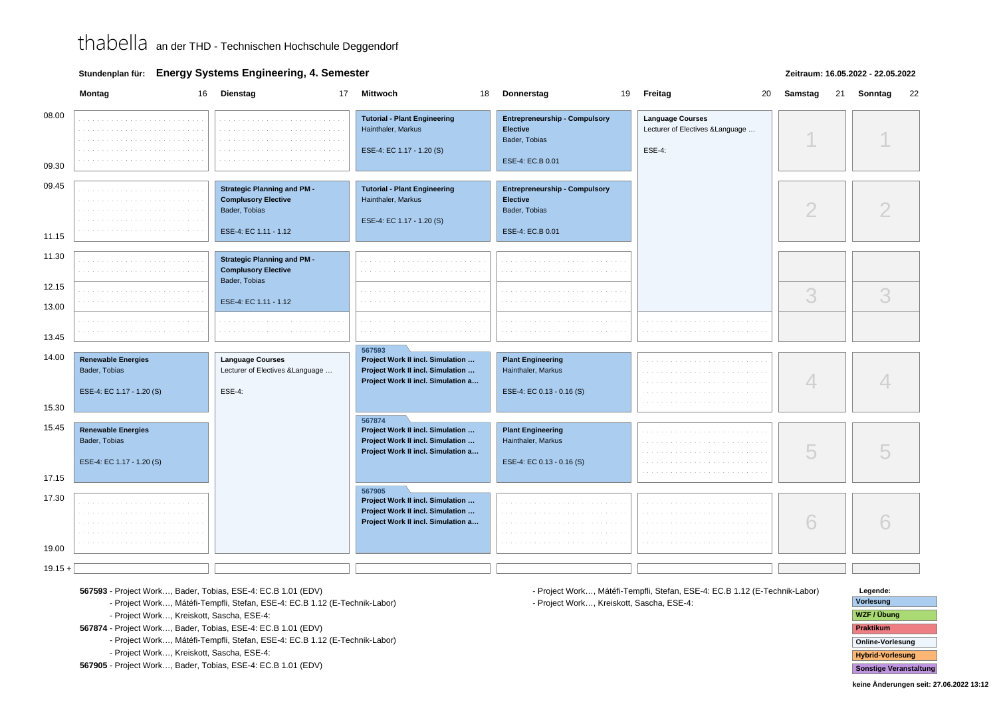**Stundenplan für: Energy Systems Engineering, 4. Semester**

### **Zeitraum: 16.05.2022 - 22.05.2022**

|                | Montag<br>16                                                            | <b>Dienstag</b><br>17                                                                                      | <b>Mittwoch</b><br>18                                                                                                | 19<br>Donnerstag                                                                             | 20<br>Freitag                                                                | Samstag<br>21 | Sonntag<br>22 |
|----------------|-------------------------------------------------------------------------|------------------------------------------------------------------------------------------------------------|----------------------------------------------------------------------------------------------------------------------|----------------------------------------------------------------------------------------------|------------------------------------------------------------------------------|---------------|---------------|
| 08.00<br>09.30 |                                                                         |                                                                                                            | <b>Tutorial - Plant Engineering</b><br>Hainthaler, Markus<br>ESE-4: EC 1.17 - 1.20 (S)                               | <b>Entrepreneurship - Compulsory</b><br><b>Elective</b><br>Bader, Tobias<br>ESE-4: EC.B 0.01 | <b>Language Courses</b><br>Lecturer of Electives & Language<br><b>ESE-4:</b> |               |               |
| 09.45<br>11.15 |                                                                         | <b>Strategic Planning and PM -</b><br><b>Complusory Elective</b><br>Bader, Tobias<br>ESE-4: EC 1.11 - 1.12 | <b>Tutorial - Plant Engineering</b><br>Hainthaler, Markus<br>ESE-4: EC 1.17 - 1.20 (S)                               | <b>Entrepreneurship - Compulsory</b><br>Elective<br>Bader, Tobias<br>ESE-4: EC.B 0.01        |                                                                              | $\mathcal{D}$ |               |
| 11.30<br>12.15 |                                                                         | <b>Strategic Planning and PM -</b><br><b>Complusory Elective</b><br>Bader, Tobias                          |                                                                                                                      |                                                                                              |                                                                              | 3             | 3             |
| 13.00<br>13.45 |                                                                         | ESE-4: EC 1.11 - 1.12                                                                                      |                                                                                                                      |                                                                                              |                                                                              |               |               |
| 14.00<br>15.30 | <b>Renewable Energies</b><br>Bader, Tobias<br>ESE-4: EC 1.17 - 1.20 (S) | <b>Language Courses</b><br>Lecturer of Electives & Language<br>ESE-4:                                      | 567593<br>Project Work II incl. Simulation<br>Project Work II incl. Simulation<br>Project Work II incl. Simulation a | <b>Plant Engineering</b><br>Hainthaler, Markus<br>ESE-4: EC 0.13 - 0.16 (S)                  |                                                                              | 4             |               |
| 15.45<br>17.15 | <b>Renewable Energies</b><br>Bader, Tobias<br>ESE-4: EC 1.17 - 1.20 (S) |                                                                                                            | 567874<br>Project Work II incl. Simulation<br>Project Work II incl. Simulation<br>Project Work II incl. Simulation a | <b>Plant Engineering</b><br>Hainthaler, Markus<br>ESE-4: EC 0.13 - 0.16 (S)                  |                                                                              | 5             |               |
| 17.30<br>19.00 |                                                                         |                                                                                                            | 567905<br>Project Work II incl. Simulation<br>Project Work II incl. Simulation<br>Project Work II incl. Simulation a |                                                                                              |                                                                              | 6             |               |
| $19.15 +$      |                                                                         |                                                                                                            |                                                                                                                      |                                                                                              |                                                                              |               |               |

**567593** - Project Work…, Bader, Tobias, ESE-4: EC.B 1.01 (EDV)

**567593** - Project Work…, Mátéfi-Tempfli, Stefan, ESE-4: EC.B 1.12 (E-Technik-Labor)

**567593** - Project Work…, Kreiskott, Sascha, ESE-4:

**567874** - Project Work…, Bader, Tobias, ESE-4: EC.B 1.01 (EDV)

**567874** - Project Work…, Mátéfi-Tempfli, Stefan, ESE-4: EC.B 1.12 (E-Technik-Labor)

**567874** - Project Work…, Kreiskott, Sascha, ESE-4:

**567905** - Project Work…, Bader, Tobias, ESE-4: EC.B 1.01 (EDV)

**567905** - Project Work…, Mátéfi-Tempfli, Stefan, ESE-4: EC.B 1.12 (E-Technik-Labor)**567905** - Project Work…, Kreiskott, Sascha, ESE-4:

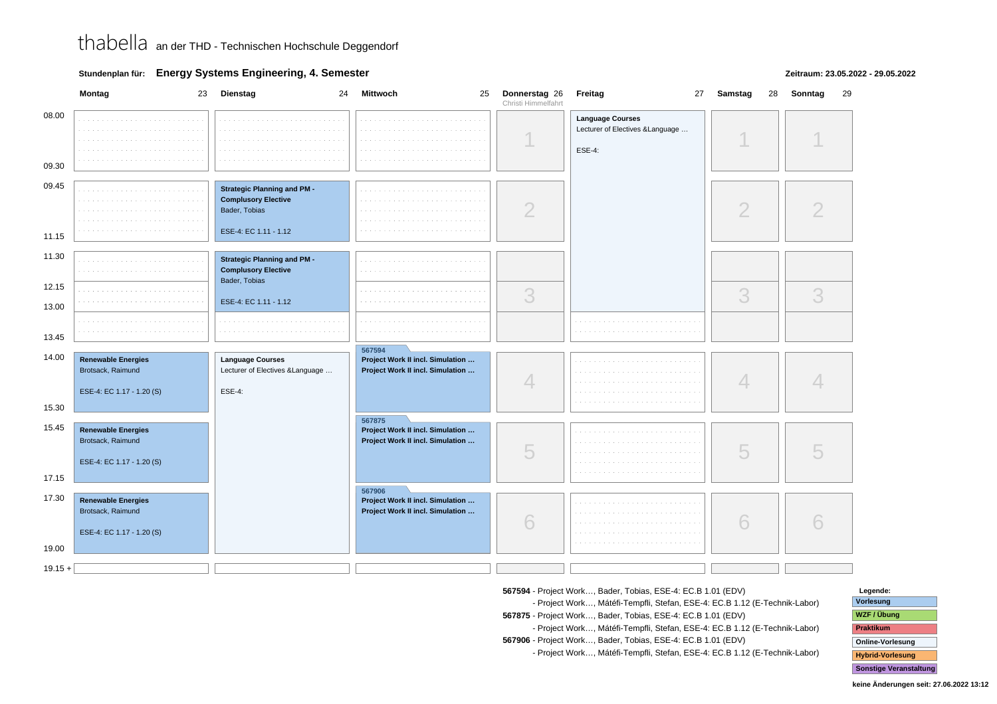**Stundenplan für: Energy Systems Engineering, 4. Semester**

### **Zeitraum: 23.05.2022 - 29.05.2022**

|                | Montag<br>23                                   | Dienstag<br>24                                                                                             | Mittwoch                                                             | 25 Donnerstag 26<br>Christi Himmelfahrt | Freitag<br>27                                                                | Samstag<br>28 | Sonntag<br>29 |
|----------------|------------------------------------------------|------------------------------------------------------------------------------------------------------------|----------------------------------------------------------------------|-----------------------------------------|------------------------------------------------------------------------------|---------------|---------------|
| 08.00<br>09.30 | contractors and<br>a con-                      |                                                                                                            | .                                                                    |                                         | <b>Language Courses</b><br>Lecturer of Electives & Language<br><b>ESE-4:</b> |               |               |
| 09.45          |                                                |                                                                                                            |                                                                      |                                         |                                                                              |               |               |
|                |                                                | <b>Strategic Planning and PM -</b><br><b>Complusory Elective</b><br>Bader, Tobias<br>ESE-4: EC 1.11 - 1.12 |                                                                      | ∩                                       |                                                                              | $\bigcirc$    |               |
| 11.15          |                                                |                                                                                                            |                                                                      |                                         |                                                                              |               |               |
| 11.30          | $\cdots$                                       | <b>Strategic Planning and PM -</b><br><b>Complusory Elective</b><br>Bader, Tobias                          |                                                                      |                                         |                                                                              |               |               |
| 12.15<br>13.00 |                                                | ESE-4: EC 1.11 - 1.12                                                                                      |                                                                      | 3                                       |                                                                              | 3             | 3             |
| 13.45          |                                                | .                                                                                                          |                                                                      |                                         |                                                                              |               |               |
| 14.00          | <b>Renewable Energies</b>                      | <b>Language Courses</b>                                                                                    | 567594<br>Project Work II incl. Simulation                           |                                         |                                                                              |               |               |
|                | Brotsack, Raimund                              | Lecturer of Electives & Language                                                                           | Project Work II incl. Simulation                                     | 4                                       |                                                                              | 4             |               |
|                | ESE-4: EC 1.17 - 1.20 (S)                      | <b>ESE-4:</b>                                                                                              |                                                                      |                                         |                                                                              |               |               |
| 15.30          |                                                |                                                                                                            | 567875                                                               |                                         |                                                                              |               |               |
| 15.45          | <b>Renewable Energies</b><br>Brotsack, Raimund |                                                                                                            | Project Work II incl. Simulation<br>Project Work II incl. Simulation | 5                                       |                                                                              | 5             |               |
|                | ESE-4: EC 1.17 - 1.20 (S)                      |                                                                                                            |                                                                      |                                         |                                                                              |               |               |
| 17.15          |                                                |                                                                                                            | 567906                                                               |                                         |                                                                              |               |               |
| 17.30          | <b>Renewable Energies</b><br>Brotsack, Raimund |                                                                                                            | Project Work II incl. Simulation<br>Project Work II incl. Simulation | 6                                       |                                                                              | 6             |               |
| 19.00          | ESE-4: EC 1.17 - 1.20 (S)                      |                                                                                                            |                                                                      |                                         |                                                                              |               |               |
|                |                                                |                                                                                                            |                                                                      |                                         |                                                                              |               |               |
| $19.15 +$      |                                                |                                                                                                            |                                                                      |                                         |                                                                              |               |               |

**567594** - Project Work…, Bader, Tobias, ESE-4: EC.B 1.01 (EDV)

 **567594** - Project Work…, Mátéfi-Tempfli, Stefan, ESE-4: EC.B 1.12 (E-Technik-Labor)**567875** - Project Work…, Bader, Tobias, ESE-4: EC.B 1.01 (EDV)

 **567875** - Project Work…, Mátéfi-Tempfli, Stefan, ESE-4: EC.B 1.12 (E-Technik-Labor)**567906** - Project Work…, Bader, Tobias, ESE-4: EC.B 1.01 (EDV)

**567906** - Project Work…, Mátéfi-Tempfli, Stefan, ESE-4: EC.B 1.12 (E-Technik-Labor)

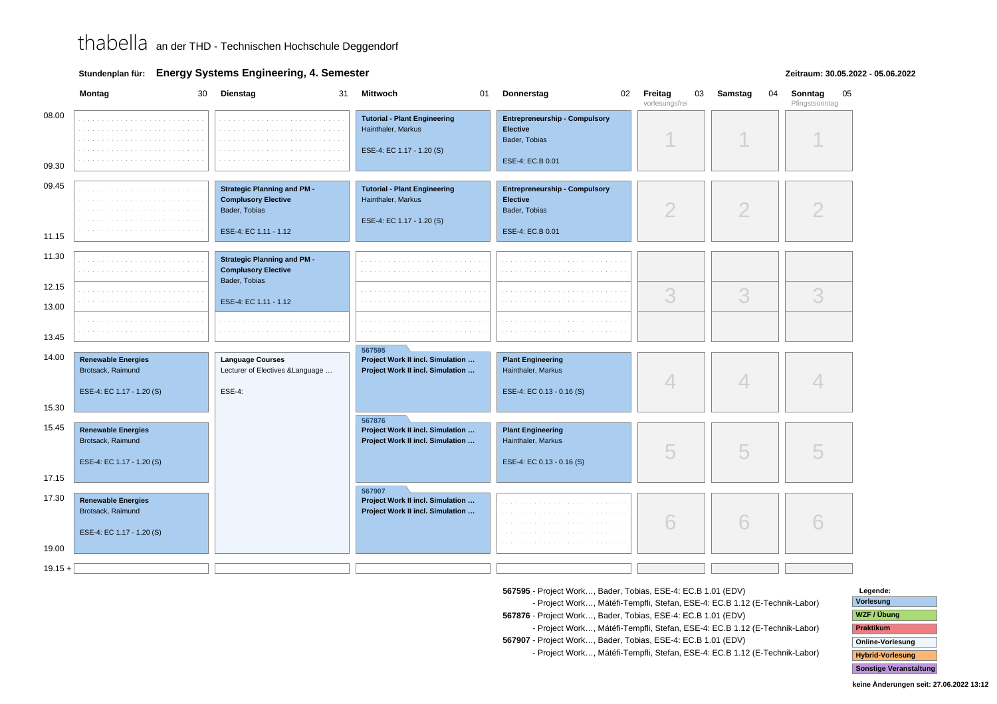**Stundenplan für: Energy Systems Engineering, 4. Semester**

#### **Zeitraum: 30.05.2022 - 05.06.2022**

|                         | Montag<br>30                                                                | Dienstag<br>31                                                                                             | Mittwoch<br>01                                                                         | Donnerstag<br>02                                                                             | Freitag<br>03<br>vorlesungsfrei | Samstag<br>04 | Sonntag<br>05<br>Pfingstsonntag |
|-------------------------|-----------------------------------------------------------------------------|------------------------------------------------------------------------------------------------------------|----------------------------------------------------------------------------------------|----------------------------------------------------------------------------------------------|---------------------------------|---------------|---------------------------------|
| 08.00<br>09.30          |                                                                             |                                                                                                            | <b>Tutorial - Plant Engineering</b><br>Hainthaler, Markus<br>ESE-4: EC 1.17 - 1.20 (S) | <b>Entrepreneurship - Compulsory</b><br><b>Elective</b><br>Bader, Tobias<br>ESE-4: EC.B 0.01 |                                 |               |                                 |
| 09.45<br>11.15          |                                                                             | <b>Strategic Planning and PM -</b><br><b>Complusory Elective</b><br>Bader, Tobias<br>ESE-4: EC 1.11 - 1.12 | <b>Tutorial - Plant Engineering</b><br>Hainthaler, Markus<br>ESE-4: EC 1.17 - 1.20 (S) | <b>Entrepreneurship - Compulsory</b><br><b>Elective</b><br>Bader, Tobias<br>ESE-4: EC.B 0.01 | $\overline{2}$                  | 2             |                                 |
| 11.30<br>12.15<br>13.00 |                                                                             | <b>Strategic Planning and PM -</b><br><b>Complusory Elective</b><br>Bader, Tobias<br>ESE-4: EC 1.11 - 1.12 |                                                                                        |                                                                                              | 3                               | 3             | 3                               |
| 13.45                   |                                                                             |                                                                                                            | 567595                                                                                 |                                                                                              |                                 |               |                                 |
| 14.00                   | <b>Renewable Energies</b><br>Brotsack, Raimund<br>ESE-4: EC 1.17 - 1.20 (S) | <b>Language Courses</b><br>Lecturer of Electives & Language<br><b>ESE-4:</b>                               | Project Work II incl. Simulation<br>Project Work II incl. Simulation                   | <b>Plant Engineering</b><br>Hainthaler, Markus<br>ESE-4: EC 0.13 - 0.16 (S)                  | 4                               | 4             |                                 |
| 15.30                   |                                                                             |                                                                                                            |                                                                                        |                                                                                              |                                 |               |                                 |
| 15.45<br>17.15          | <b>Renewable Energies</b><br>Brotsack, Raimund<br>ESE-4: EC 1.17 - 1.20 (S) |                                                                                                            | 567876<br>Project Work II incl. Simulation<br>Project Work II incl. Simulation         | <b>Plant Engineering</b><br>Hainthaler, Markus<br>ESE-4: EC 0.13 - 0.16 (S)                  | 5                               | 5             |                                 |
| 17.30<br>19.00          | <b>Renewable Energies</b><br>Brotsack, Raimund<br>ESE-4: EC 1.17 - 1.20 (S) |                                                                                                            | 567907<br>Project Work II incl. Simulation<br>Project Work II incl. Simulation         |                                                                                              | 6                               | 6             |                                 |
| $19.15 +$               |                                                                             |                                                                                                            |                                                                                        |                                                                                              |                                 |               |                                 |

**567595** - Project Work…, Bader, Tobias, ESE-4: EC.B 1.01 (EDV)

 **567595** - Project Work…, Mátéfi-Tempfli, Stefan, ESE-4: EC.B 1.12 (E-Technik-Labor)**567876** - Project Work…, Bader, Tobias, ESE-4: EC.B 1.01 (EDV)

 **567876** - Project Work…, Mátéfi-Tempfli, Stefan, ESE-4: EC.B 1.12 (E-Technik-Labor)**567907** - Project Work…, Bader, Tobias, ESE-4: EC.B 1.01 (EDV)

**567907** - Project Work…, Mátéfi-Tempfli, Stefan, ESE-4: EC.B 1.12 (E-Technik-Labor)

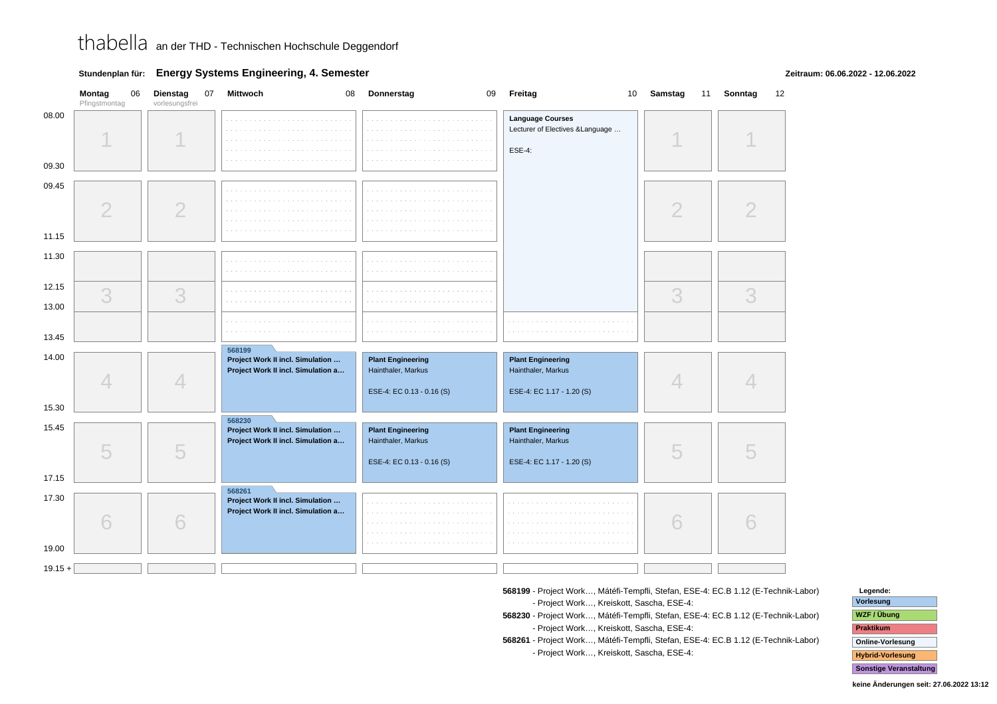### **Stundenplan für: Energy Systems Engineering, 4. Semester**

**Zeitraum: 06.06.2022 - 12.06.2022**

|                         | Montag<br>06<br>Pfingstmontag | Dienstag<br>07<br>vorlesungsfrei | Mittwoch<br>08                                                                   | Donnerstag<br>09                                                            | Freitag                                                                      | 10 Samstag     | 11 Sonntag<br>12 |
|-------------------------|-------------------------------|----------------------------------|----------------------------------------------------------------------------------|-----------------------------------------------------------------------------|------------------------------------------------------------------------------|----------------|------------------|
| 08.00<br>09.30          |                               |                                  |                                                                                  | a and<br>$\sim$ $\sim$                                                      | <b>Language Courses</b><br>Lecturer of Electives & Language<br><b>ESE-4:</b> |                |                  |
| 09.45<br>11.15          | $\overline{2}$                | $\overline{2}$                   |                                                                                  | $\sim$                                                                      |                                                                              | $\overline{2}$ |                  |
| 11.30<br>12.15<br>13.00 | 3                             | 3                                | $\alpha$ , $\alpha$ , $\alpha$<br>contractors.                                   | a sa sala<br>a sa salawan<br><b>College</b>                                 |                                                                              | 3              | 3                |
| 13.45                   |                               |                                  | 568199                                                                           | <b>College</b>                                                              |                                                                              |                |                  |
| 14.00<br>15.30          | $\Delta$                      | 4                                | Project Work II incl. Simulation<br>Project Work II incl. Simulation a           | <b>Plant Engineering</b><br>Hainthaler, Markus<br>ESE-4: EC 0.13 - 0.16 (S) | <b>Plant Engineering</b><br>Hainthaler, Markus<br>ESE-4: EC 1.17 - 1.20 (S)  | $\Box$         |                  |
| 15.45<br>17.15          | 5                             | 5                                | 568230<br>Project Work II incl. Simulation<br>Project Work II incl. Simulation a | <b>Plant Engineering</b><br>Hainthaler, Markus<br>ESE-4: EC 0.13 - 0.16 (S) | <b>Plant Engineering</b><br>Hainthaler, Markus<br>ESE-4: EC 1.17 - 1.20 (S)  | 5              |                  |
| 17.30<br>19.00          | 6                             | 6                                | 568261<br>Project Work II incl. Simulation<br>Project Work II incl. Simulation a | $\sim$                                                                      |                                                                              | 6              |                  |
| $19.15 +$               |                               |                                  |                                                                                  |                                                                             |                                                                              |                |                  |

- **568199** Project Work…, Mátéfi-Tempfli, Stefan, ESE-4: EC.B 1.12 (E-Technik-Labor)**568199** - Project Work…, Kreiskott, Sascha, ESE-4:
- **568230** Project Work…, Mátéfi-Tempfli, Stefan, ESE-4: EC.B 1.12 (E-Technik-Labor)**568230** - Project Work…, Kreiskott, Sascha, ESE-4:
- **568261** Project Work…, Mátéfi-Tempfli, Stefan, ESE-4: EC.B 1.12 (E-Technik-Labor)**568261** - Project Work…, Kreiskott, Sascha, ESE-4:

| Legende:                      |
|-------------------------------|
| Vorlesung                     |
| WZF / Übung                   |
| <b>Praktikum</b>              |
| <b>Online-Vorlesung</b>       |
| <b>Hybrid-Vorlesung</b>       |
| <b>Sonstige Veranstaltung</b> |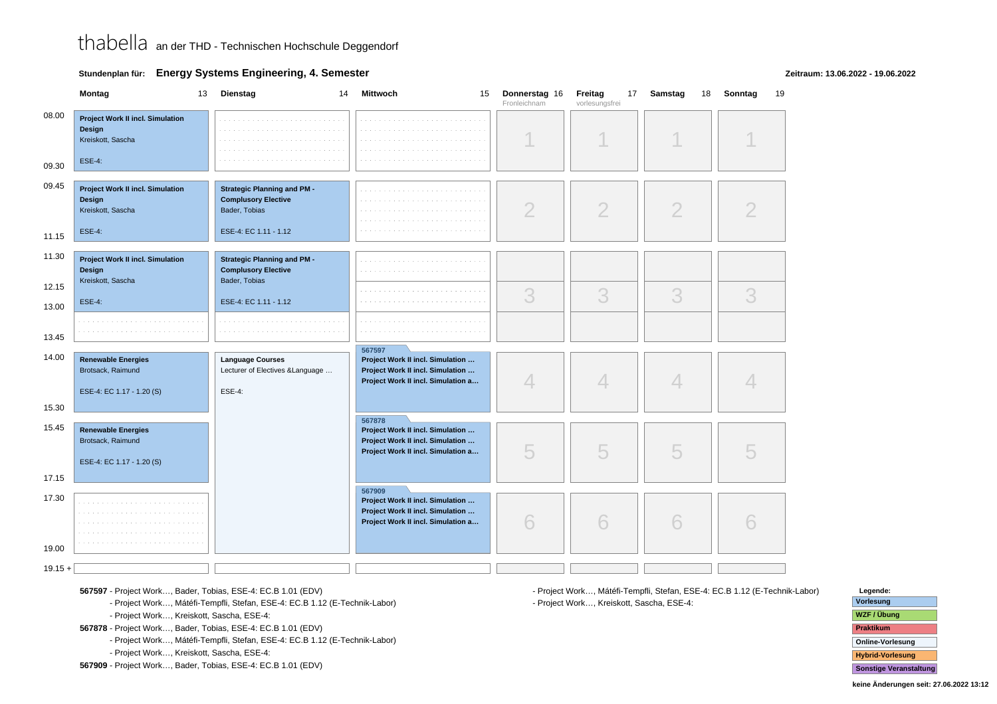**Stundenplan für: Energy Systems Engineering, 4. Semester**

#### **Zeitraum: 13.06.2022 - 19.06.2022**

|                | Montag<br>13                                                                            | Dienstag<br>14                                                                                             | <b>Mittwoch</b><br>15                                                                                                | Donnerstag 16<br>Fronleichnam | Freitag<br>17<br>vorlesungsfrei | Samstag<br>18  | Sonntag<br>19 |
|----------------|-----------------------------------------------------------------------------------------|------------------------------------------------------------------------------------------------------------|----------------------------------------------------------------------------------------------------------------------|-------------------------------|---------------------------------|----------------|---------------|
| 08.00<br>09.30 | <b>Project Work II incl. Simulation</b><br>Design<br>Kreiskott, Sascha<br><b>ESE-4:</b> |                                                                                                            | .<br>a sa                                                                                                            |                               |                                 |                |               |
| 09.45<br>11.15 | <b>Project Work II incl. Simulation</b><br>Design<br>Kreiskott, Sascha<br><b>ESE-4:</b> | <b>Strategic Planning and PM -</b><br><b>Complusory Elective</b><br>Bader, Tobias<br>ESE-4: EC 1.11 - 1.12 |                                                                                                                      | $\overline{2}$                | $\overline{2}$                  | $\overline{2}$ |               |
| 11.30          | Project Work II incl. Simulation<br>Design<br>Kreiskott, Sascha                         | <b>Strategic Planning and PM -</b><br><b>Complusory Elective</b><br>Bader, Tobias                          |                                                                                                                      |                               |                                 |                |               |
| 12.15<br>13.00 | <b>ESE-4:</b>                                                                           | ESE-4: EC 1.11 - 1.12                                                                                      |                                                                                                                      | 3                             | 3                               | 3              | 3             |
| 13.45          |                                                                                         |                                                                                                            |                                                                                                                      |                               |                                 |                |               |
| 14.00          | <b>Renewable Energies</b><br>Brotsack, Raimund<br>ESE-4: EC 1.17 - 1.20 (S)             | <b>Language Courses</b><br>Lecturer of Electives & Language<br><b>ESE-4:</b>                               | 567597<br>Project Work II incl. Simulation<br>Project Work II incl. Simulation<br>Project Work II incl. Simulation a | $\overline{\mathcal{A}}$      | 4                               | 4              |               |
| 15.30<br>15.45 |                                                                                         |                                                                                                            | 567878                                                                                                               |                               |                                 |                |               |
| 17.15          | <b>Renewable Energies</b><br>Brotsack, Raimund<br>ESE-4: EC 1.17 - 1.20 (S)             |                                                                                                            | Project Work II incl. Simulation<br>Project Work II incl. Simulation<br>Project Work II incl. Simulation a           | 5                             | 5                               | 5              |               |
| 17.30          |                                                                                         |                                                                                                            | 567909<br>Project Work II incl. Simulation<br>Project Work II incl. Simulation<br>Project Work II incl. Simulation a | 6                             | 6                               | 6              |               |
| 19.00          |                                                                                         |                                                                                                            |                                                                                                                      |                               |                                 |                |               |
| $19.15 +$      |                                                                                         |                                                                                                            |                                                                                                                      |                               |                                 |                |               |

**567597** - Project Work…, Bader, Tobias, ESE-4: EC.B 1.01 (EDV)

**567597** - Project Work…, Mátéfi-Tempfli, Stefan, ESE-4: EC.B 1.12 (E-Technik-Labor)

**567597** - Project Work…, Kreiskott, Sascha, ESE-4:

**567878** - Project Work…, Bader, Tobias, ESE-4: EC.B 1.01 (EDV)

**567878** - Project Work…, Mátéfi-Tempfli, Stefan, ESE-4: EC.B 1.12 (E-Technik-Labor)

**567878** - Project Work…, Kreiskott, Sascha, ESE-4:

**567909** - Project Work…, Bader, Tobias, ESE-4: EC.B 1.01 (EDV)

**567909** - Project Work…, Mátéfi-Tempfli, Stefan, ESE-4: EC.B 1.12 (E-Technik-Labor)**567909** - Project Work…, Kreiskott, Sascha, ESE-4:

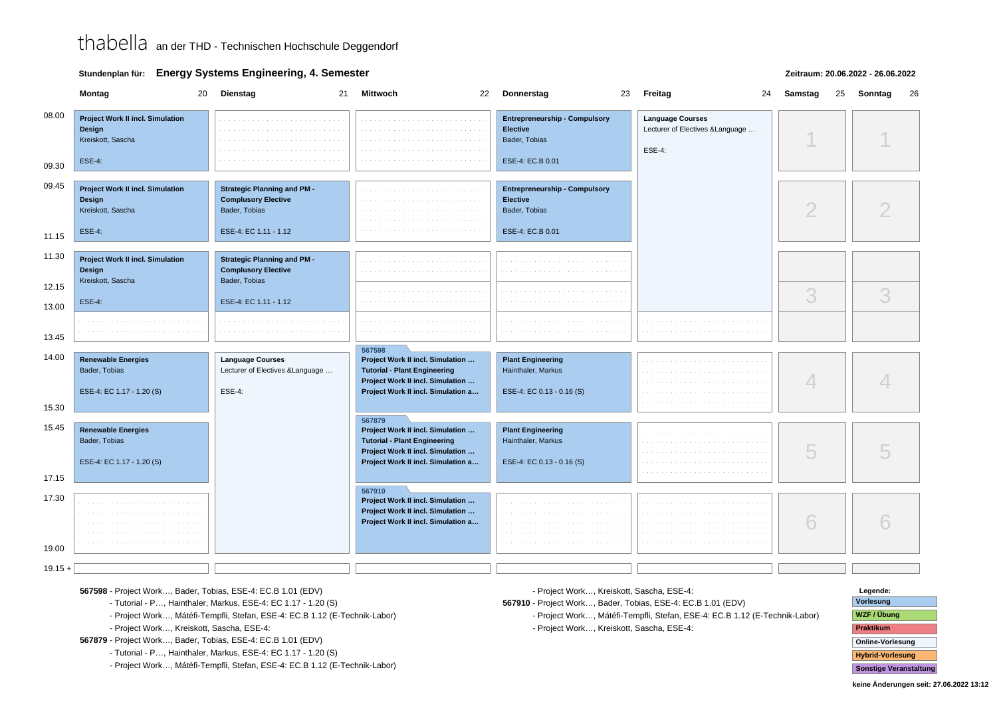### **Stundenplan für: Energy Systems Engineering, 4. Semester**

### **Zeitraum: 20.06.2022 - 26.06.2022**

|                | Montag                                                                                  | 20 | <b>Dienstag</b>                                                                                            | 21 | Mittwoch<br>22                                                                                                                                              | Donnerstag<br>23                                                                             | Freitag | 24                                                          | Samstag |   | 25 | Sonntag<br>26 |
|----------------|-----------------------------------------------------------------------------------------|----|------------------------------------------------------------------------------------------------------------|----|-------------------------------------------------------------------------------------------------------------------------------------------------------------|----------------------------------------------------------------------------------------------|---------|-------------------------------------------------------------|---------|---|----|---------------|
| 08.00<br>09.30 | <b>Project Work II incl. Simulation</b><br>Design<br>Kreiskott, Sascha<br><b>ESE-4:</b> |    |                                                                                                            |    |                                                                                                                                                             | <b>Entrepreneurship - Compulsory</b><br><b>Elective</b><br>Bader, Tobias<br>ESE-4: EC.B 0.01 | ESE-4:  | <b>Language Courses</b><br>Lecturer of Electives & Language |         |   |    |               |
| 09.45          | <b>Project Work II incl. Simulation</b><br>Design<br>Kreiskott, Sascha<br><b>ESE-4:</b> |    | <b>Strategic Planning and PM -</b><br><b>Complusory Elective</b><br>Bader, Tobias<br>ESE-4: EC 1.11 - 1.12 |    |                                                                                                                                                             | <b>Entrepreneurship - Compulsory</b><br>Elective<br>Bader, Tobias<br>ESE-4: EC.B 0.01        |         |                                                             |         | ◠ |    |               |
| 11.15<br>11.30 | <b>Project Work II incl. Simulation</b><br>Design<br>Kreiskott, Sascha                  |    | <b>Strategic Planning and PM -</b><br><b>Complusory Elective</b><br>Bader, Tobias                          |    |                                                                                                                                                             |                                                                                              |         |                                                             |         |   |    |               |
| 12.15<br>13.00 | <b>ESE-4:</b>                                                                           |    | ESE-4: EC 1.11 - 1.12                                                                                      |    |                                                                                                                                                             |                                                                                              |         |                                                             |         | 3 |    | 3             |
| 13.45          |                                                                                         |    |                                                                                                            |    |                                                                                                                                                             |                                                                                              |         |                                                             |         |   |    |               |
| 14.00<br>15.30 | <b>Renewable Energies</b><br>Bader, Tobias<br>ESE-4: EC 1.17 - 1.20 (S)                 |    | <b>Language Courses</b><br>Lecturer of Electives & Language<br>ESE-4:                                      |    | 567598<br>Project Work II incl. Simulation<br><b>Tutorial - Plant Engineering</b><br>Project Work II incl. Simulation<br>Project Work II incl. Simulation a | <b>Plant Engineering</b><br>Hainthaler, Markus<br>ESE-4: EC 0.13 - 0.16 (S)                  |         |                                                             |         |   |    |               |
| 15.45<br>17.15 | <b>Renewable Energies</b><br>Bader, Tobias<br>ESE-4: EC 1.17 - 1.20 (S)                 |    |                                                                                                            |    | 567879<br>Project Work II incl. Simulation<br><b>Tutorial - Plant Engineering</b><br>Project Work II incl. Simulation<br>Project Work II incl. Simulation a | <b>Plant Engineering</b><br>Hainthaler, Markus<br>ESE-4: EC 0.13 - 0.16 (S)                  |         |                                                             |         | 5 |    |               |
| 17.30<br>19.00 |                                                                                         |    |                                                                                                            |    | 567910<br>Project Work II incl. Simulation<br>Project Work II incl. Simulation<br>Project Work II incl. Simulation a                                        |                                                                                              |         |                                                             |         | 6 |    |               |
| $19.15 +$      |                                                                                         |    |                                                                                                            |    |                                                                                                                                                             |                                                                                              |         |                                                             |         |   |    |               |

**567598** - Project Work…, Bader, Tobias, ESE-4: EC.B 1.01 (EDV)

**567598** - Tutorial - P…, Hainthaler, Markus, ESE-4: EC 1.17 - 1.20 (S)

**567598** - Project Work…, Mátéfi-Tempfli, Stefan, ESE-4: EC.B 1.12 (E-Technik-Labor)

**567598** - Project Work…, Kreiskott, Sascha, ESE-4:

**567879** - Project Work…, Bader, Tobias, ESE-4: EC.B 1.01 (EDV)

**567879** - Tutorial - P…, Hainthaler, Markus, ESE-4: EC 1.17 - 1.20 (S)

**567879** - Project Work…, Mátéfi-Tempfli, Stefan, ESE-4: EC.B 1.12 (E-Technik-Labor)

**567879** - Project Work…, Kreiskott, Sascha, ESE-4:

**567910** - Project Work…, Bader, Tobias, ESE-4: EC.B 1.01 (EDV)

 **567910** - Project Work…, Mátéfi-Tempfli, Stefan, ESE-4: EC.B 1.12 (E-Technik-Labor)**567910** - Project Work…, Kreiskott, Sascha, ESE-4:

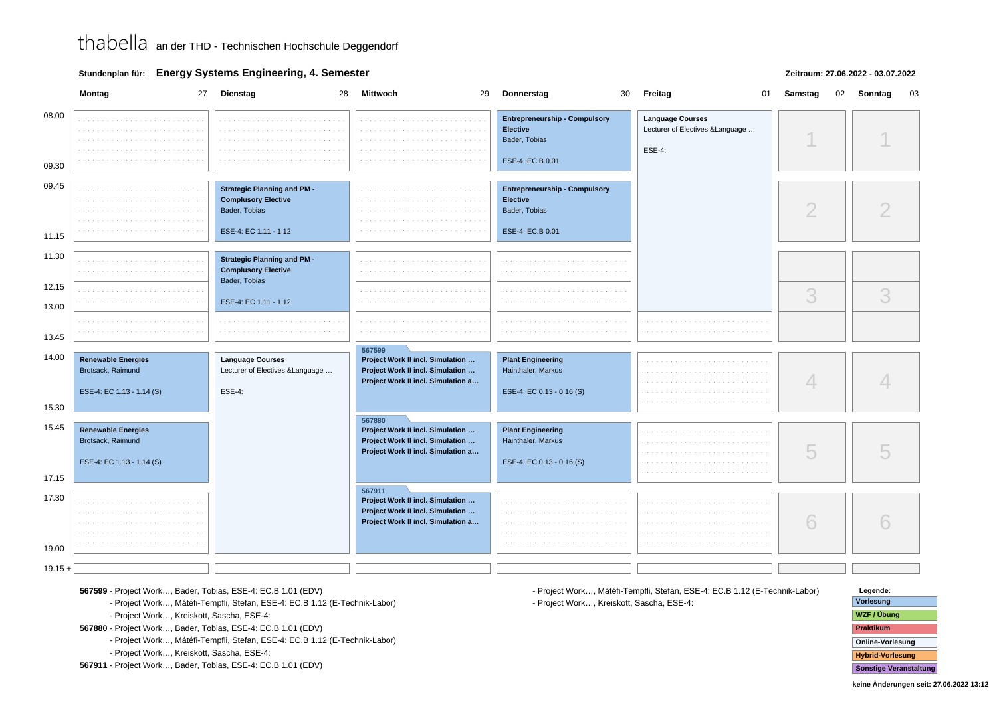**Stundenplan für: Energy Systems Engineering, 4. Semester**

### **Zeitraum: 27.06.2022 - 03.07.2022**

|                | Montag<br>27                                                                | Dienstag<br>28                                                                                             | <b>Mittwoch</b><br>29                                                                                                | 30<br>Donnerstag                                                                             | Freitag<br>01                                                         | Samstag<br>02 | Sonntag<br>03 |
|----------------|-----------------------------------------------------------------------------|------------------------------------------------------------------------------------------------------------|----------------------------------------------------------------------------------------------------------------------|----------------------------------------------------------------------------------------------|-----------------------------------------------------------------------|---------------|---------------|
| 08.00<br>09.30 |                                                                             |                                                                                                            |                                                                                                                      | <b>Entrepreneurship - Compulsory</b><br><b>Elective</b><br>Bader, Tobias<br>ESE-4: EC.B 0.01 | <b>Language Courses</b><br>Lecturer of Electives & Language<br>ESE-4: |               |               |
| 09.45<br>11.15 |                                                                             | <b>Strategic Planning and PM -</b><br><b>Complusory Elective</b><br>Bader, Tobias<br>ESE-4: EC 1.11 - 1.12 |                                                                                                                      | <b>Entrepreneurship - Compulsory</b><br><b>Elective</b><br>Bader, Tobias<br>ESE-4: EC.B 0.01 |                                                                       | $\bigcirc$    |               |
| 11.30<br>12.15 |                                                                             | <b>Strategic Planning and PM -</b><br><b>Complusory Elective</b><br>Bader, Tobias                          |                                                                                                                      |                                                                                              |                                                                       | 3             | 3             |
| 13.00<br>13.45 |                                                                             | ESE-4: EC 1.11 - 1.12                                                                                      |                                                                                                                      |                                                                                              |                                                                       |               |               |
| 14.00<br>15.30 | <b>Renewable Energies</b><br>Brotsack, Raimund<br>ESE-4: EC 1.13 - 1.14 (S) | <b>Language Courses</b><br>Lecturer of Electives & Language<br><b>ESE-4:</b>                               | 567599<br>Project Work II incl. Simulation<br>Project Work II incl. Simulation<br>Project Work II incl. Simulation a | <b>Plant Engineering</b><br>Hainthaler, Markus<br>ESE-4: EC 0.13 - 0.16 (S)                  |                                                                       |               |               |
| 15.45<br>17.15 | <b>Renewable Energies</b><br>Brotsack, Raimund<br>ESE-4: EC 1.13 - 1.14 (S) |                                                                                                            | 567880<br>Project Work II incl. Simulation<br>Project Work II incl. Simulation<br>Project Work II incl. Simulation a | <b>Plant Engineering</b><br>Hainthaler, Markus<br>ESE-4: EC 0.13 - 0.16 (S)                  |                                                                       | 5             |               |
| 17.30<br>19.00 |                                                                             |                                                                                                            | 567911<br>Project Work II incl. Simulation<br>Project Work II incl. Simulation<br>Project Work II incl. Simulation a |                                                                                              |                                                                       | 6             |               |
| $19.15 +$      |                                                                             |                                                                                                            |                                                                                                                      |                                                                                              |                                                                       |               |               |

**567599** - Project Work…, Bader, Tobias, ESE-4: EC.B 1.01 (EDV)

**567599** - Project Work…, Mátéfi-Tempfli, Stefan, ESE-4: EC.B 1.12 (E-Technik-Labor)

**567599** - Project Work…, Kreiskott, Sascha, ESE-4:

**567880** - Project Work…, Bader, Tobias, ESE-4: EC.B 1.01 (EDV)

**567880** - Project Work…, Mátéfi-Tempfli, Stefan, ESE-4: EC.B 1.12 (E-Technik-Labor)

**567880** - Project Work…, Kreiskott, Sascha, ESE-4:

**567911** - Project Work…, Bader, Tobias, ESE-4: EC.B 1.01 (EDV)

**567911** - Project Work…, Mátéfi-Tempfli, Stefan, ESE-4: EC.B 1.12 (E-Technik-Labor)**567911** - Project Work…, Kreiskott, Sascha, ESE-4: